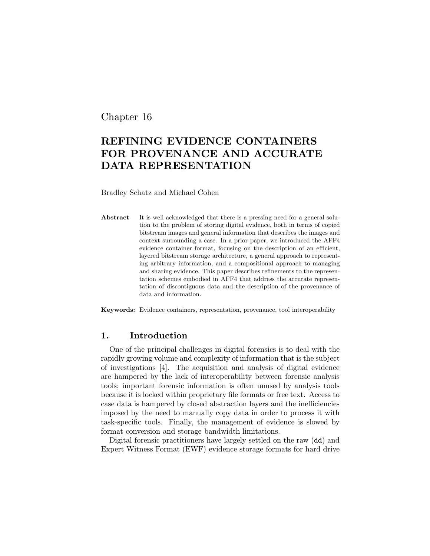# Chapter 16

# REFINING EVIDENCE CONTAINERS FOR PROVENANCE AND ACCURATE DATA REPRESENTATION

Bradley Schatz and Michael Cohen

Abstract It is well acknowledged that there is a pressing need for a general solution to the problem of storing digital evidence, both in terms of copied bitstream images and general information that describes the images and context surrounding a case. In a prior paper, we introduced the AFF4 evidence container format, focusing on the description of an efficient, layered bitstream storage architecture, a general approach to representing arbitrary information, and a compositional approach to managing and sharing evidence. This paper describes refinements to the representation schemes embodied in AFF4 that address the accurate representation of discontiguous data and the description of the provenance of data and information.

Keywords: Evidence containers, representation, provenance, tool interoperability

#### 1. Introduction

One of the principal challenges in digital forensics is to deal with the rapidly growing volume and complexity of information that is the subject of investigations [4]. The acquisition and analysis of digital evidence are hampered by the lack of interoperability between forensic analysis tools; important forensic information is often unused by analysis tools because it is locked within proprietary file formats or free text. Access to case data is hampered by closed abstraction layers and the inefficiencies imposed by the need to manually copy data in order to process it with task-specific tools. Finally, the management of evidence is slowed by format conversion and storage bandwidth limitations.

Digital forensic practitioners have largely settled on the raw (dd) and Expert Witness Format (EWF) evidence storage formats for hard drive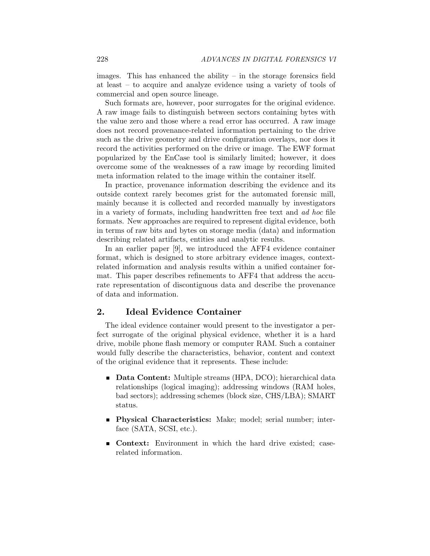images. This has enhanced the ability  $-$  in the storage forensics field at least – to acquire and analyze evidence using a variety of tools of commercial and open source lineage.

Such formats are, however, poor surrogates for the original evidence. A raw image fails to distinguish between sectors containing bytes with the value zero and those where a read error has occurred. A raw image does not record provenance-related information pertaining to the drive such as the drive geometry and drive configuration overlays, nor does it record the activities performed on the drive or image. The EWF format popularized by the EnCase tool is similarly limited; however, it does overcome some of the weaknesses of a raw image by recording limited meta information related to the image within the container itself.

In practice, provenance information describing the evidence and its outside context rarely becomes grist for the automated forensic mill, mainly because it is collected and recorded manually by investigators in a variety of formats, including handwritten free text and ad hoc file formats. New approaches are required to represent digital evidence, both in terms of raw bits and bytes on storage media (data) and information describing related artifacts, entities and analytic results.

In an earlier paper [9], we introduced the AFF4 evidence container format, which is designed to store arbitrary evidence images, contextrelated information and analysis results within a unified container format. This paper describes refinements to AFF4 that address the accurate representation of discontiguous data and describe the provenance of data and information.

# 2. Ideal Evidence Container

The ideal evidence container would present to the investigator a perfect surrogate of the original physical evidence, whether it is a hard drive, mobile phone flash memory or computer RAM. Such a container would fully describe the characteristics, behavior, content and context of the original evidence that it represents. These include:

- **Data Content:** Multiple streams (HPA, DCO); hierarchical data relationships (logical imaging); addressing windows (RAM holes, bad sectors); addressing schemes (block size, CHS/LBA); SMART status.
- **Physical Characteristics:** Make; model; serial number; interface (SATA, SCSI, etc.).
- **Context:** Environment in which the hard drive existed; caserelated information.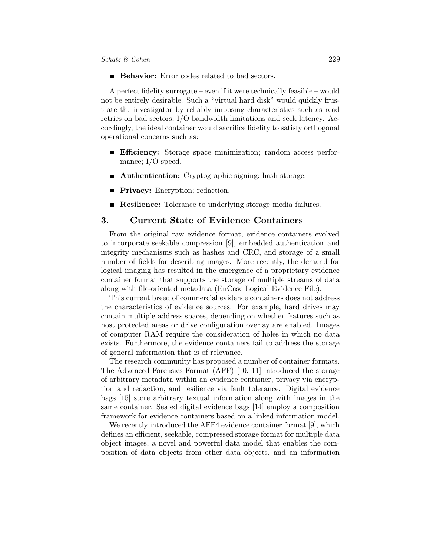■ Behavior: Error codes related to bad sectors.

A perfect fidelity surrogate – even if it were technically feasible – would not be entirely desirable. Such a "virtual hard disk" would quickly frustrate the investigator by reliably imposing characteristics such as read retries on bad sectors, I/O bandwidth limitations and seek latency. Accordingly, the ideal container would sacrifice fidelity to satisfy orthogonal operational concerns such as:

- **Efficiency:** Storage space minimization; random access performance; I/O speed.
- **Authentication:** Cryptographic signing; hash storage.
- **Privacy:** Encryption; redaction.
- **Resilience:** Tolerance to underlying storage media failures.

#### 3. Current State of Evidence Containers

From the original raw evidence format, evidence containers evolved to incorporate seekable compression [9], embedded authentication and integrity mechanisms such as hashes and CRC, and storage of a small number of fields for describing images. More recently, the demand for logical imaging has resulted in the emergence of a proprietary evidence container format that supports the storage of multiple streams of data along with file-oriented metadata (EnCase Logical Evidence File).

This current breed of commercial evidence containers does not address the characteristics of evidence sources. For example, hard drives may contain multiple address spaces, depending on whether features such as host protected areas or drive configuration overlay are enabled. Images of computer RAM require the consideration of holes in which no data exists. Furthermore, the evidence containers fail to address the storage of general information that is of relevance.

The research community has proposed a number of container formats. The Advanced Forensics Format (AFF) [10, 11] introduced the storage of arbitrary metadata within an evidence container, privacy via encryption and redaction, and resilience via fault tolerance. Digital evidence bags [15] store arbitrary textual information along with images in the same container. Sealed digital evidence bags [14] employ a composition framework for evidence containers based on a linked information model.

We recently introduced the AFF4 evidence container format [9], which defines an efficient, seekable, compressed storage format for multiple data object images, a novel and powerful data model that enables the composition of data objects from other data objects, and an information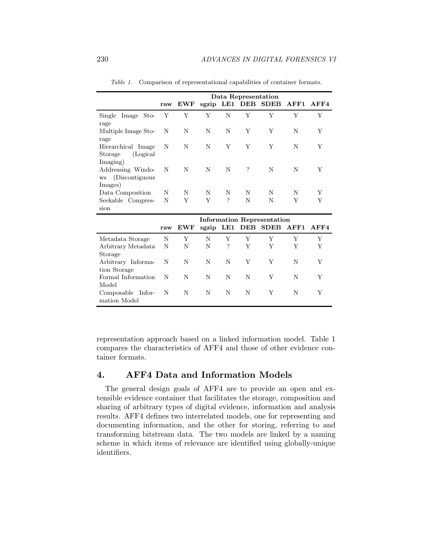|                                                        | Data Representation |             |   |   |          |                         |   |      |  |  |
|--------------------------------------------------------|---------------------|-------------|---|---|----------|-------------------------|---|------|--|--|
|                                                        | raw                 | ${\bf EWF}$ |   |   |          | sgzip LE1 DEB SDEB AFF1 |   | AFF4 |  |  |
| Image Sto-<br>Single<br>rage                           | Y                   | Y           | Y | N | Y        | Y                       | Y | Υ    |  |  |
| Multiple Image Sto-<br>rage                            | $\mathbf N$         | N           | N | N | Y        | Y                       | N | Y    |  |  |
| Hierarchical Image<br>(Logical)<br>Storage<br>Imaging) | $\mathbb N$         | N           | N | Y | Y        | Y                       | N | Y    |  |  |
| Addressing Windo-<br>(Discontiguous<br>WS<br>Images)   | $\mathbf N$         | N           | N | N | $\gamma$ | N                       | N | Y    |  |  |
| Data Composition                                       | Ν                   | N           | N | N | N        | N                       | N | Y    |  |  |
| Seekable Compres-<br>sion                              | N                   | Y           | Y | ? | N        | N                       | Y | Y    |  |  |

Table 1. Comparison of representational capabilities of container formats.

|                      | <b>Information Representation</b> |             |   |                |   |                              |   |   |  |  |
|----------------------|-----------------------------------|-------------|---|----------------|---|------------------------------|---|---|--|--|
|                      | raw                               | ${\bf EWF}$ |   |                |   | sgzip LE1 DEB SDEB AFF1 AFF4 |   |   |  |  |
| Metadata Storage     | $\mathbb{N}$                      | Y           | Ν | Y              | Y | Y                            | Y | Y |  |  |
| Arbitrary Metadata N |                                   | N           | N | $\overline{?}$ | Y | Y                            | Y | Y |  |  |
| Storage              |                                   |             |   |                |   |                              |   |   |  |  |
| Arbitrary Informa- N |                                   | N           | N | N              | Y | Y                            | N | Y |  |  |
| tion Storage         |                                   |             |   |                |   |                              |   |   |  |  |
| Formal Information   | $\mathbf N$                       | N           | N | N              | N | Y                            | N | Y |  |  |
| Model                |                                   |             |   |                |   |                              |   |   |  |  |
| Composable Infor-    | $\mathbf N$                       | N           | N | N              | N | Y                            | N | Y |  |  |
| mation Model         |                                   |             |   |                |   |                              |   |   |  |  |

representation approach based on a linked information model. Table 1 compares the characteristics of AFF4 and those of other evidence container formats.

# 4. AFF4 Data and Information Models

The general design goals of AFF4 are to provide an open and extensible evidence container that facilitates the storage, composition and sharing of arbitrary types of digital evidence, information and analysis results. AFF4 defines two interrelated models, one for representing and documenting information, and the other for storing, referring to and transforming bitstream data. The two models are linked by a naming scheme in which items of relevance are identified using globally-unique identifiers.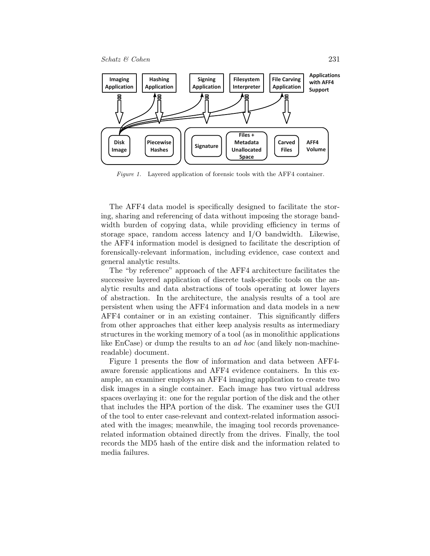

Figure 1. Layered application of forensic tools with the AFF4 container.

The AFF4 data model is specifically designed to facilitate the storing, sharing and referencing of data without imposing the storage bandwidth burden of copying data, while providing efficiency in terms of storage space, random access latency and I/O bandwidth. Likewise, the AFF4 information model is designed to facilitate the description of forensically-relevant information, including evidence, case context and general analytic results.

The "by reference" approach of the AFF4 architecture facilitates the successive layered application of discrete task-specific tools on the analytic results and data abstractions of tools operating at lower layers of abstraction. In the architecture, the analysis results of a tool are persistent when using the AFF4 information and data models in a new AFF4 container or in an existing container. This significantly differs from other approaches that either keep analysis results as intermediary structures in the working memory of a tool (as in monolithic applications like EnCase) or dump the results to an *ad hoc* (and likely non-machinereadable) document.

Figure 1 presents the flow of information and data between AFF4 aware forensic applications and AFF4 evidence containers. In this example, an examiner employs an AFF4 imaging application to create two disk images in a single container. Each image has two virtual address spaces overlaying it: one for the regular portion of the disk and the other that includes the HPA portion of the disk. The examiner uses the GUI of the tool to enter case-relevant and context-related information associated with the images; meanwhile, the imaging tool records provenancerelated information obtained directly from the drives. Finally, the tool records the MD5 hash of the entire disk and the information related to media failures.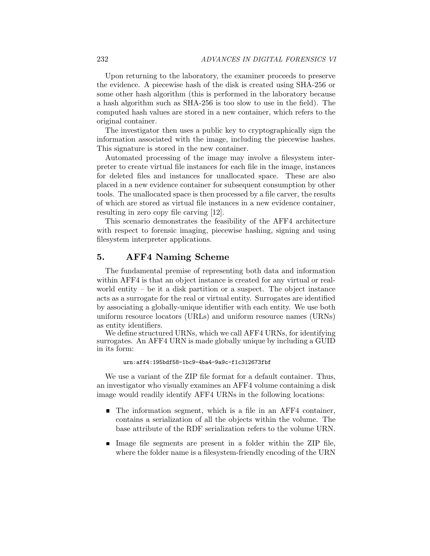Upon returning to the laboratory, the examiner proceeds to preserve the evidence. A piecewise hash of the disk is created using SHA-256 or some other hash algorithm (this is performed in the laboratory because a hash algorithm such as SHA-256 is too slow to use in the field). The computed hash values are stored in a new container, which refers to the original container.

The investigator then uses a public key to cryptographically sign the information associated with the image, including the piecewise hashes. This signature is stored in the new container.

Automated processing of the image may involve a filesystem interpreter to create virtual file instances for each file in the image, instances for deleted files and instances for unallocated space. These are also placed in a new evidence container for subsequent consumption by other tools. The unallocated space is then processed by a file carver, the results of which are stored as virtual file instances in a new evidence container, resulting in zero copy file carving [12].

This scenario demonstrates the feasibility of the AFF4 architecture with respect to forensic imaging, piecewise hashing, signing and using filesystem interpreter applications.

### 5. AFF4 Naming Scheme

The fundamental premise of representing both data and information within AFF4 is that an object instance is created for any virtual or realworld entity – be it a disk partition or a suspect. The object instance acts as a surrogate for the real or virtual entity. Surrogates are identified by associating a globally-unique identifier with each entity. We use both uniform resource locators (URLs) and uniform resource names (URNs) as entity identifiers.

We define structured URNs, which we call AFF4 URNs, for identifying surrogates. An AFF4 URN is made globally unique by including a GUID in its form:

urn:aff4:195bdf58-1bc9-4ba4-9a9c-f1c312673fbf

We use a variant of the ZIP file format for a default container. Thus, an investigator who visually examines an AFF4 volume containing a disk image would readily identify AFF4 URNs in the following locations:

- The information segment, which is a file in an AFF4 container, contains a serialization of all the objects within the volume. The base attribute of the RDF serialization refers to the volume URN.
- Image file segments are present in a folder within the ZIP file, where the folder name is a filesystem-friendly encoding of the URN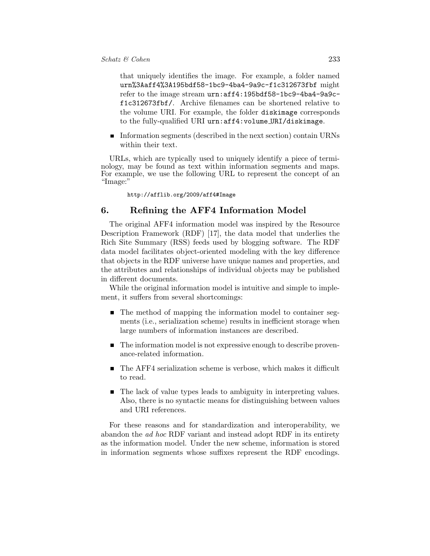that uniquely identifies the image. For example, a folder named urn%3Aaff4%3A195bdf58-1bc9-4ba4-9a9c-f1c312673fbf might refer to the image stream urn:aff4:195bdf58-1bc9-4ba4-9a9cf1c312673fbf/. Archive filenames can be shortened relative to the volume URI. For example, the folder diskimage corresponds to the fully-qualified URI urn:aff4:volume URI/diskimage.

Information segments (described in the next section) contain URNs within their text.

URLs, which are typically used to uniquely identify a piece of terminology, may be found as text within information segments and maps. For example, we use the following URL to represent the concept of an "Image:"

http://afflib.org/2009/aff4#Image

# 6. Refining the AFF4 Information Model

The original AFF4 information model was inspired by the Resource Description Framework (RDF) [17], the data model that underlies the Rich Site Summary (RSS) feeds used by blogging software. The RDF data model facilitates object-oriented modeling with the key difference that objects in the RDF universe have unique names and properties, and the attributes and relationships of individual objects may be published in different documents.

While the original information model is intuitive and simple to implement, it suffers from several shortcomings:

- The method of mapping the information model to container segments (i.e., serialization scheme) results in inefficient storage when large numbers of information instances are described.
- The information model is not expressive enough to describe provenance-related information.
- The AFF4 serialization scheme is verbose, which makes it difficult to read.
- The lack of value types leads to ambiguity in interpreting values. Also, there is no syntactic means for distinguishing between values and URI references.

For these reasons and for standardization and interoperability, we abandon the ad hoc RDF variant and instead adopt RDF in its entirety as the information model. Under the new scheme, information is stored in information segments whose suffixes represent the RDF encodings.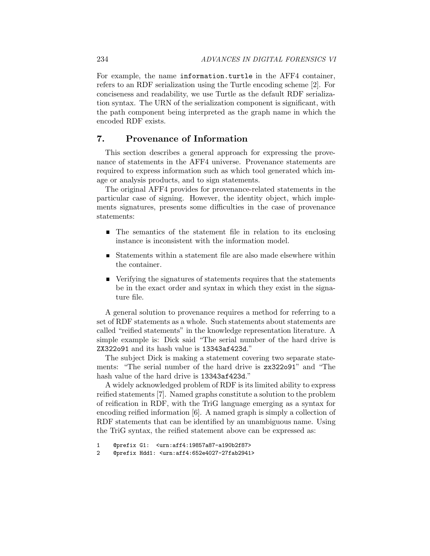For example, the name information.turtle in the AFF4 container, refers to an RDF serialization using the Turtle encoding scheme [2]. For conciseness and readability, we use Turtle as the default RDF serialization syntax. The URN of the serialization component is significant, with the path component being interpreted as the graph name in which the encoded RDF exists.

# 7. Provenance of Information

This section describes a general approach for expressing the provenance of statements in the AFF4 universe. Provenance statements are required to express information such as which tool generated which image or analysis products, and to sign statements.

The original AFF4 provides for provenance-related statements in the particular case of signing. However, the identity object, which implements signatures, presents some difficulties in the case of provenance statements:

- $\blacksquare$ The semantics of the statement file in relation to its enclosing instance is inconsistent with the information model.
- Statements within a statement file are also made elsewhere within the container.
- Verifying the signatures of statements requires that the statements be in the exact order and syntax in which they exist in the signature file.

A general solution to provenance requires a method for referring to a set of RDF statements as a whole. Such statements about statements are called "reified statements" in the knowledge representation literature. A simple example is: Dick said "The serial number of the hard drive is ZX322o91 and its hash value is 13343af423d."

The subject Dick is making a statement covering two separate statements: "The serial number of the hard drive is zx322o91" and "The hash value of the hard drive is 13343af423d."

A widely acknowledged problem of RDF is its limited ability to express reified statements [7]. Named graphs constitute a solution to the problem of reification in RDF, with the TriG language emerging as a syntax for encoding reified information [6]. A named graph is simply a collection of RDF statements that can be identified by an unambiguous name. Using the TriG syntax, the reified statement above can be expressed as:

```
1 @prefix G1: <urn:aff4:19857a87-a190b2f87>
```
2 @prefix Hdd1: <urn:aff4:652e4027-27fab2941>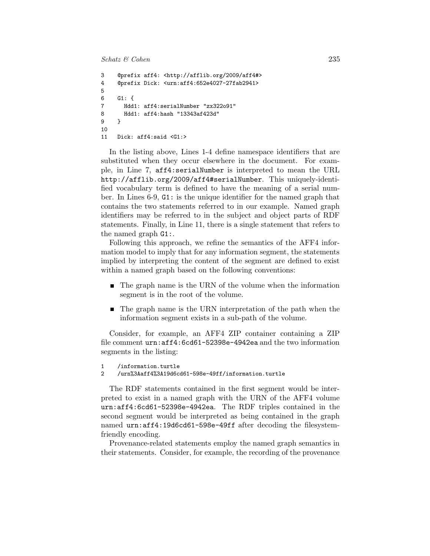```
Schatz \& Cohen 235
```

```
3 @prefix aff4: <http://afflib.org/2009/aff4#>
4 @prefix Dick: <urn:aff4:652e4027-27fab2941>
5
6 G1: {
7 Hdd1: aff4:serialNumber "zx322o91"
8 Hdd1: aff4:hash "13343af423d"
9 }
10
11 Dick: aff4:said <G1:>
```
In the listing above, Lines 1-4 define namespace identifiers that are substituted when they occur elsewhere in the document. For example, in Line 7, aff4:serialNumber is interpreted to mean the URL http://afflib.org/2009/aff4#serialNumber. This uniquely-identified vocabulary term is defined to have the meaning of a serial number. In Lines 6-9, G1: is the unique identifier for the named graph that contains the two statements referred to in our example. Named graph identifiers may be referred to in the subject and object parts of RDF statements. Finally, in Line 11, there is a single statement that refers to the named graph G1:.

Following this approach, we refine the semantics of the AFF4 information model to imply that for any information segment, the statements implied by interpreting the content of the segment are defined to exist within a named graph based on the following conventions:

- The graph name is the URN of the volume when the information segment is in the root of the volume.
- The graph name is the URN interpretation of the path when the information segment exists in a sub-path of the volume.

Consider, for example, an AFF4 ZIP container containing a ZIP file comment urn:aff4:6cd61-52398e-4942ea and the two information segments in the listing:

```
1 /information.turtle
```
#### 2 /urn%3Aaff4%3A19d6cd61-598e-49ff/information.turtle

The RDF statements contained in the first segment would be interpreted to exist in a named graph with the URN of the AFF4 volume urn:aff4:6cd61-52398e-4942ea. The RDF triples contained in the second segment would be interpreted as being contained in the graph named urn:aff4:19d6cd61-598e-49ff after decoding the filesystemfriendly encoding.

Provenance-related statements employ the named graph semantics in their statements. Consider, for example, the recording of the provenance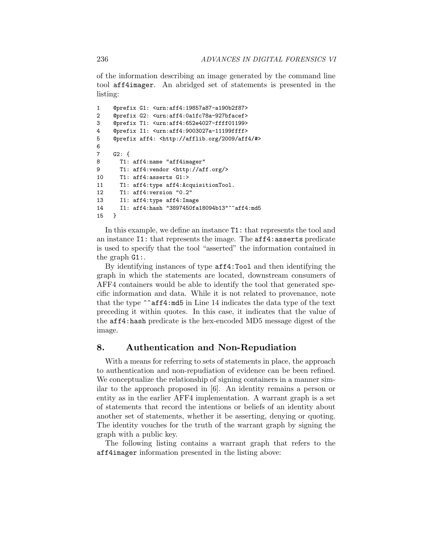of the information describing an image generated by the command line tool aff4imager. An abridged set of statements is presented in the listing:

```
1 @prefix G1: <urn:aff4:19857a87-a190b2f87>
2 @prefix G2: <urn:aff4:0a1fc78a-927bfacef>
3 @prefix T1: <urn:aff4:652e4027-ffff01199>
4 @prefix I1: <urn:aff4:9003027a-11199ffff>
5 @prefix aff4: <http://afflib.org/2009/aff4/#>
6
7 G2: {
8 T1: aff4:name "aff4imager"
9 T1: aff4:vendor <http://aff.org/>
10 T1: aff4:asserts G1:>
11 T1: aff4:type aff4:AcquisitionTool.
12 T1: aff4:version "0.2"
13 I1: aff4:type aff4:Image
14 I1: aff4:hash "3897450fa18094b13"^^aff4:md5
15 }
```
In this example, we define an instance T1: that represents the tool and an instance I1: that represents the image. The aff4:asserts predicate is used to specify that the tool "asserted" the information contained in the graph G1:.

By identifying instances of type aff4:Tool and then identifying the graph in which the statements are located, downstream consumers of AFF4 containers would be able to identify the tool that generated specific information and data. While it is not related to provenance, note that the type  $\text{``aff4:md5}$  in Line 14 indicates the data type of the text preceding it within quotes. In this case, it indicates that the value of the aff4:hash predicate is the hex-encoded MD5 message digest of the image.

# 8. Authentication and Non-Repudiation

With a means for referring to sets of statements in place, the approach to authentication and non-repudiation of evidence can be been refined. We conceptualize the relationship of signing containers in a manner similar to the approach proposed in [6]. An identity remains a person or entity as in the earlier AFF4 implementation. A warrant graph is a set of statements that record the intentions or beliefs of an identity about another set of statements, whether it be asserting, denying or quoting. The identity vouches for the truth of the warrant graph by signing the graph with a public key.

The following listing contains a warrant graph that refers to the aff4imager information presented in the listing above: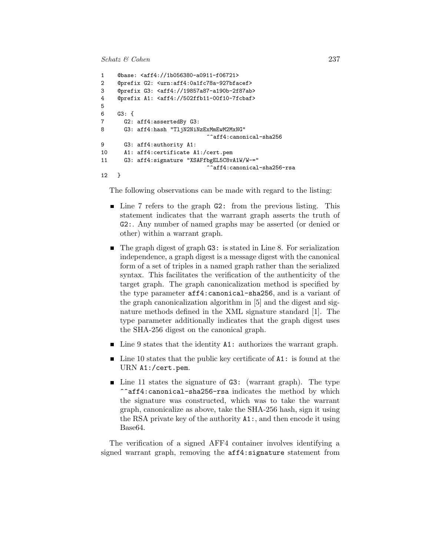```
1 @base: <aff4://1b056380-a0911-f06721>
2 @prefix G2: <urn:aff4:0a1fc78a-927bfacef>
3 @prefix G3: <aff4://19857a87-a190b-2f87ab>
4 @prefix A1: <aff4://502ffb11-00f10-7fcbaf>
5
6 G3: {
7 G2: aff4:assertedBy G3:
8 G3: aff4:hash "TljN2NiNzExMmEwM2MxNG"
                              ^^aff4:canonical-sha256
9 G3: aff4:authority A1:
10 A1: aff4:certificate A1:/cert.pem
11 G3: aff4:signature "XSAFfbgEL5C8vA1W/W-="
                              ^^aff4:canonical-sha256-rsa
12 }
```
The following observations can be made with regard to the listing:

- Line 7 refers to the graph G2: from the previous listing. This statement indicates that the warrant graph asserts the truth of G2:. Any number of named graphs may be asserted (or denied or other) within a warrant graph.
- The graph digest of graph G3: is stated in Line 8. For serialization independence, a graph digest is a message digest with the canonical form of a set of triples in a named graph rather than the serialized syntax. This facilitates the verification of the authenticity of the target graph. The graph canonicalization method is specified by the type parameter aff4:canonical-sha256, and is a variant of the graph canonicalization algorithm in [5] and the digest and signature methods defined in the XML signature standard [1]. The type parameter additionally indicates that the graph digest uses the SHA-256 digest on the canonical graph.
- Line 9 states that the identity A1: authorizes the warrant graph.
- $\blacksquare$  Line 10 states that the public key certificate of A1: is found at the URN A1:/cert.pem.
- Line 11 states the signature of G3: (warrant graph). The type ^^aff4:canonical-sha256-rsa indicates the method by which the signature was constructed, which was to take the warrant graph, canonicalize as above, take the SHA-256 hash, sign it using the RSA private key of the authority A1:, and then encode it using Base64.

The verification of a signed AFF4 container involves identifying a signed warrant graph, removing the aff4:signature statement from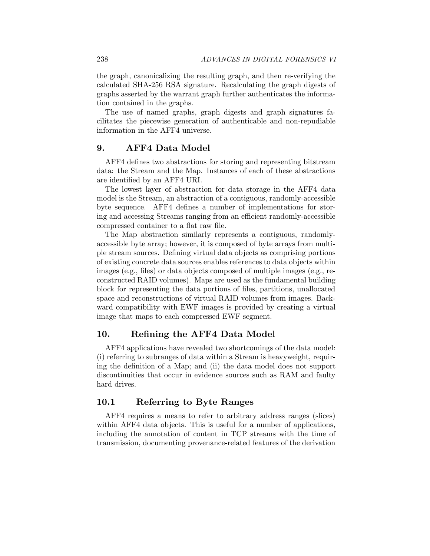the graph, canonicalizing the resulting graph, and then re-verifying the calculated SHA-256 RSA signature. Recalculating the graph digests of graphs asserted by the warrant graph further authenticates the information contained in the graphs.

The use of named graphs, graph digests and graph signatures facilitates the piecewise generation of authenticable and non-repudiable information in the AFF4 universe.

#### 9. AFF4 Data Model

AFF4 defines two abstractions for storing and representing bitstream data: the Stream and the Map. Instances of each of these abstractions are identified by an AFF4 URI.

The lowest layer of abstraction for data storage in the AFF4 data model is the Stream, an abstraction of a contiguous, randomly-accessible byte sequence. AFF4 defines a number of implementations for storing and accessing Streams ranging from an efficient randomly-accessible compressed container to a flat raw file.

The Map abstraction similarly represents a contiguous, randomlyaccessible byte array; however, it is composed of byte arrays from multiple stream sources. Defining virtual data objects as comprising portions of existing concrete data sources enables references to data objects within images (e.g., files) or data objects composed of multiple images (e.g., reconstructed RAID volumes). Maps are used as the fundamental building block for representing the data portions of files, partitions, unallocated space and reconstructions of virtual RAID volumes from images. Backward compatibility with EWF images is provided by creating a virtual image that maps to each compressed EWF segment.

### 10. Refining the AFF4 Data Model

AFF4 applications have revealed two shortcomings of the data model: (i) referring to subranges of data within a Stream is heavyweight, requiring the definition of a Map; and (ii) the data model does not support discontinuities that occur in evidence sources such as RAM and faulty hard drives.

### 10.1 Referring to Byte Ranges

AFF4 requires a means to refer to arbitrary address ranges (slices) within AFF4 data objects. This is useful for a number of applications, including the annotation of content in TCP streams with the time of transmission, documenting provenance-related features of the derivation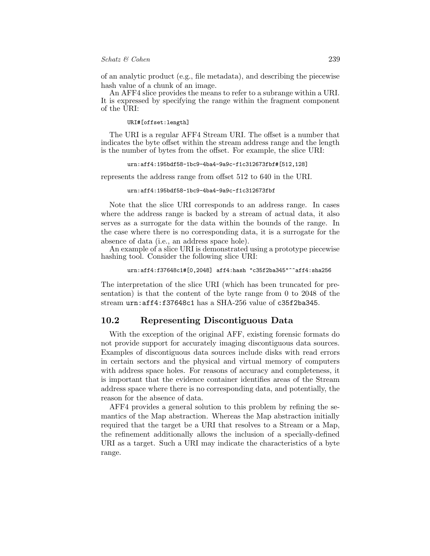#### $Schatz \& Cohen$  239

of an analytic product (e.g., file metadata), and describing the piecewise hash value of a chunk of an image.

An AFF4 slice provides the means to refer to a subrange within a URI. It is expressed by specifying the range within the fragment component of the URI:

#### URI#[offset:length]

The URI is a regular AFF4 Stream URI. The offset is a number that indicates the byte offset within the stream address range and the length is the number of bytes from the offset. For example, the slice URI:

#### urn:aff4:195bdf58-1bc9-4ba4-9a9c-f1c312673fbf#[512,128]

represents the address range from offset 512 to 640 in the URI.

#### urn:aff4:195bdf58-1bc9-4ba4-9a9c-f1c312673fbf

Note that the slice URI corresponds to an address range. In cases where the address range is backed by a stream of actual data, it also serves as a surrogate for the data within the bounds of the range. In the case where there is no corresponding data, it is a surrogate for the absence of data (i.e., an address space hole).

An example of a slice URI is demonstrated using a prototype piecewise hashing tool. Consider the following slice URI:

#### urn:aff4:f37648c1#[0,2048] aff4:hash "c35f2ba345"^^aff4:sha256

The interpretation of the slice URI (which has been truncated for presentation) is that the content of the byte range from 0 to 2048 of the stream urn:aff4:f37648c1 has a SHA-256 value of c35f2ba345.

### 10.2 Representing Discontiguous Data

With the exception of the original AFF, existing forensic formats do not provide support for accurately imaging discontiguous data sources. Examples of discontiguous data sources include disks with read errors in certain sectors and the physical and virtual memory of computers with address space holes. For reasons of accuracy and completeness, it is important that the evidence container identifies areas of the Stream address space where there is no corresponding data, and potentially, the reason for the absence of data.

AFF4 provides a general solution to this problem by refining the semantics of the Map abstraction. Whereas the Map abstraction initially required that the target be a URI that resolves to a Stream or a Map, the refinement additionally allows the inclusion of a specially-defined URI as a target. Such a URI may indicate the characteristics of a byte range.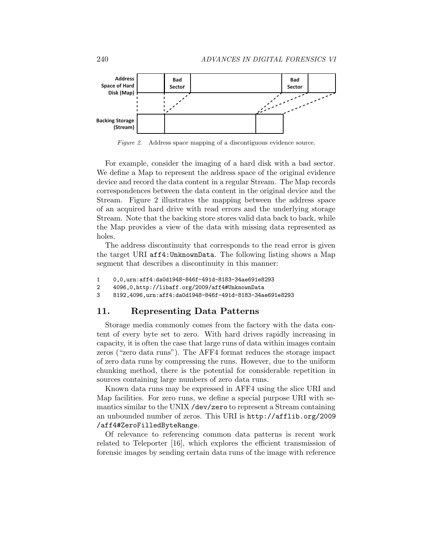

Figure 2. Address space mapping of a discontiguous evidence source.

For example, consider the imaging of a hard disk with a bad sector. We define a Map to represent the address space of the original evidence device and record the data content in a regular Stream. The Map records correspondences between the data content in the original device and the Stream. Figure 2 illustrates the mapping between the address space of an acquired hard drive with read errors and the underlying storage Stream. Note that the backing store stores valid data back to back, while the Map provides a view of the data with missing data represented as holes.

The address discontinuity that corresponds to the read error is given the target URI aff4:UnknownData. The following listing shows a Map segment that describes a discontinuity in this manner:

```
1 0,0,urn:aff4:da0d1948-846f-491d-8183-34ae691e8293
```

```
2 4096,0,http://libaff.org/2009/aff4#UnknownData
```

```
3 8192,4096,urn:aff4:da0d1948-846f-491d-8183-34ae691e8293
```
#### 11. Representing Data Patterns

Storage media commonly comes from the factory with the data content of every byte set to zero. With hard drives rapidly increasing in capacity, it is often the case that large runs of data within images contain zeros ("zero data runs"). The AFF4 format reduces the storage impact of zero data runs by compressing the runs. However, due to the uniform chunking method, there is the potential for considerable repetition in sources containing large numbers of zero data runs.

Known data runs may be expressed in AFF4 using the slice URI and Map facilities. For zero runs, we define a special purpose URI with semantics similar to the UNIX /dev/zero to represent a Stream containing an unbounded number of zeros. This URI is http://afflib.org/2009 /aff4#ZeroFilledByteRange.

Of relevance to referencing common data patterns is recent work related to Teleporter [16], which explores the efficient transmission of forensic images by sending certain data runs of the image with reference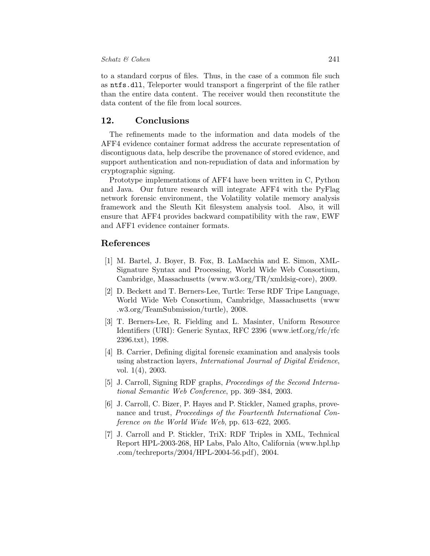to a standard corpus of files. Thus, in the case of a common file such as ntfs.dll, Teleporter would transport a fingerprint of the file rather than the entire data content. The receiver would then reconstitute the data content of the file from local sources.

#### 12. Conclusions

The refinements made to the information and data models of the AFF4 evidence container format address the accurate representation of discontiguous data, help describe the provenance of stored evidence, and support authentication and non-repudiation of data and information by cryptographic signing.

Prototype implementations of AFF4 have been written in C, Python and Java. Our future research will integrate AFF4 with the PyFlag network forensic environment, the Volatility volatile memory analysis framework and the Sleuth Kit filesystem analysis tool. Also, it will ensure that AFF4 provides backward compatibility with the raw, EWF and AFF1 evidence container formats.

### References

- [1] M. Bartel, J. Boyer, B. Fox, B. LaMacchia and E. Simon, XML-Signature Syntax and Processing, World Wide Web Consortium, Cambridge, Massachusetts (www.w3.org/TR/xmldsig-core), 2009.
- [2] D. Beckett and T. Berners-Lee, Turtle: Terse RDF Tripe Language, World Wide Web Consortium, Cambridge, Massachusetts (www .w3.org/TeamSubmission/turtle), 2008.
- [3] T. Berners-Lee, R. Fielding and L. Masinter, Uniform Resource Identifiers (URI): Generic Syntax, RFC 2396 (www.ietf.org/rfc/rfc 2396.txt), 1998.
- [4] B. Carrier, Defining digital forensic examination and analysis tools using abstraction layers, International Journal of Digital Evidence, vol. 1(4), 2003.
- [5] J. Carroll, Signing RDF graphs, Proceedings of the Second International Semantic Web Conference, pp. 369–384, 2003.
- [6] J. Carroll, C. Bizer, P. Hayes and P. Stickler, Named graphs, provenance and trust, Proceedings of the Fourteenth International Conference on the World Wide Web, pp. 613–622, 2005.
- [7] J. Carroll and P. Stickler, TriX: RDF Triples in XML, Technical Report HPL-2003-268, HP Labs, Palo Alto, California (www.hpl.hp .com/techreports/2004/HPL-2004-56.pdf), 2004.